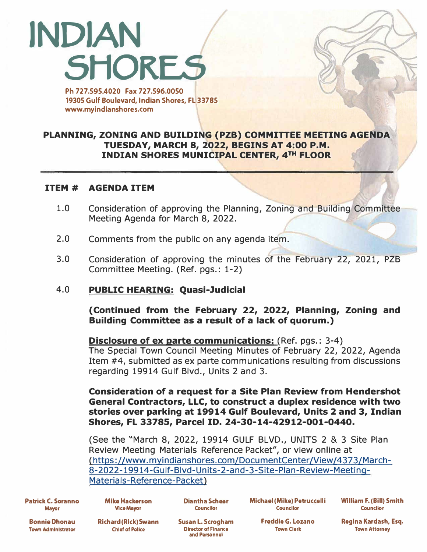# **INDIAN SHORES**

**Ph 727.595.4020 Fax 727.596.0050 19305 Gulf Boulevard, Indian Shores, FL 33785 www.myindlanshores.com** 

### **PLANNING, ZONING AND BUILDING (PZB) COMMITTEE MEETING AGENDA TUESDAY, MARCH 8, 2022, BEGINS AT 4:00 P.M. INDIAN SHORES MUNICIPAL CENTER, 4TH FLOOR**

#### **ITEM # AGENDA ITEM**

- 1.0 Consideration of approving the Planning, Zoning and Building Committee Meeting Agenda for March 8, 2022.
- 2.0 Comments from the public on any agenda item.
- 3.0 Consideration of approving the minutes of the February 22, 2021, PZB Committee Meeting. (Ref. pgs.: 1-2)

#### 4.0 **PUBLIC HEARING: Quasi-Judicial**

**(Continued from the February 22, 2022, Planning, Zoning and Building Committee as a result of a lack of quorum.)** 

#### **Disclosure of ex parte communications:** (Ref. pgs.: 3-4)

The Special Town Council Meeting Minutes of February 22, 2022, Agenda Item #4, submitted as ex parte communications resulting from discussions regarding 19914 Gulf Blvd., Units 2 and 3.

**Consideration of a request for a Site Plan Review from Hendershot General Contractors, LLC, to construct a duplex residence with two stories over parking at 19914 Gulf Boulevard, Units 2 and 3, Indian Shores, FL 33785, Parcel ID. 24-30-14-42912-001-0440.** 

(See the "March 8, 2022, 19914 GULF BLVD., UNITS 2 & 3 Site Plan Review Meeting Materials Reference Packet", or view online at [\(https://www.myindianshores.com/DocumentCenter/View/4373/March-](https://www.myindianshores.com/DocumentCenter/View/4373/March-8-2022-19914-Gulf-Blvd-Units-2-and-3-Site-Plan-Review-Meeting-Materials-Reference-Packet)8-2022-19914-Gulf-Blvd-Units-2-and-3-Site-Plan-Review-Meeting-Materials-Reference-Packet)

**Patrick C. Soranno Mayor** 

**Mike Hackerson Diantha Schear Michael (Mike) Petruccelli William F. (Bill) Smith Vice Mayor Councllor Councilor Councilor** 

**Bonnie Dhonau Town Administrator** 

**Chief of Police Director of Finance Town Clerk Town Attorney Constant Constant Constant Constant Constant Constant Constant Constant Constant Constant Constant Constant Constant Constant Constant Constant Constant Constan and Penonnel** 

**Richard (Rick) Swann Susan L. Scrogham Freddie** *G.* **Lozano Regina Kardash, Esq.**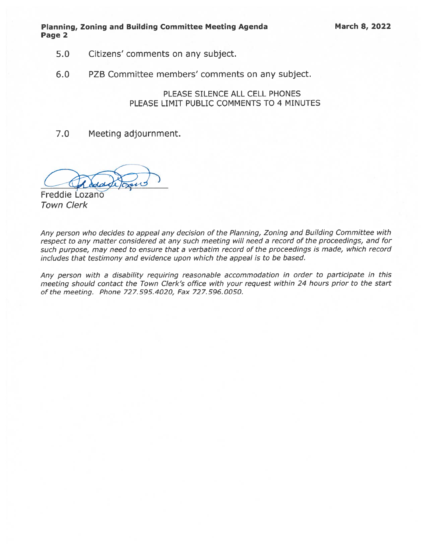Planning, Zoning and Building Committee Meeting Agenda March 8, 2022 Page 2

- 5.0 Citizens' comments on any subject.
- 6.0 PZB Committee members' comments on any subject.

PLEASE SILENCE ALL CELL PHONES PLEASE LIMIT PUBLIC COMMENTS TO 4 MINUTES

7.0 Meeting adjournment.

Freddie Lozano Town Clerk

Any person who decides to appeal any decision of the Planning, Zoning and Building Committee with respec<sup>t</sup> to any matter considered at any such meeting will need <sup>a</sup> record of the proceedings, and for such purpose, may need to ensure that <sup>a</sup> verbatim record of the proceedings is made, which record includes that testimony and evidence upon which the appeal is to be based.

Any person with <sup>a</sup> disability requiring reasonable accommodation in order to participate in this meeting should contact the Town Clerk's office with your reques<sup>t</sup> within <sup>24</sup> hours prior to the start of the meeting. Phone 727.595.4020, Fax 727.596.0050.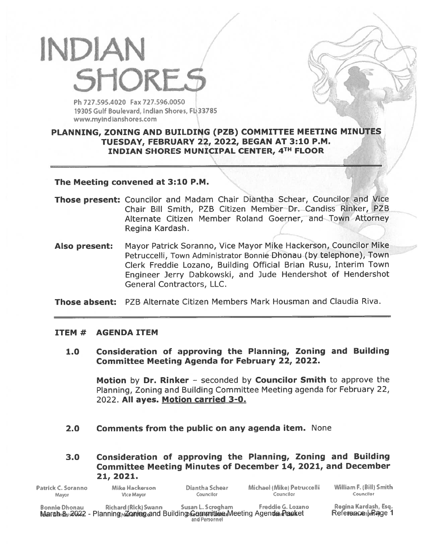## INDIAN 5M0RE5 /7

Ph 727.595.4020 Fax 727.596.0050 19305 Gulf Boulevard, Indian Shores, FL 33785 www.myindianshores.com

#### PLANNING, ZONING AND BUILDING (PZB) COMMITTEE MEETING MINUTES TUESDAY, FEBRUARY 22, 2022, BEGAN AT 3:10 P.M. INDIAN SHORES MUNICIPAL CENTER, 4TH FLOOR

#### The Meeting convened at 3:10 P.M.

- Those present: Councilor and Madam Chair Diantha Schear, Councilor and Vice Chair Bill Smith, PZB Citizen Member Dr. Candiss Rinker, PZB Alternate Citizen Member Roland Goerner, and Town Attorney Regina Kardash.
- Also present: Mayor Patrick Soranno, Vice Mayor Mike Hackerson, Councilor Mike Petruccelli, Town Administrator Bonnie Dhonau (by telephone), Town Clerk Freddie Lozano, Building Official Brian Rusu, Interim Town Engineer Jerry Dabkowski, and Jude Hendershot of Hendershot General Contractors, LLC.

Those absent: PZB Alternate Citizen Members Mark Housman and Claudia Riva.

#### ITEM # AGENDA ITEM

1.0 Consideration of approving the Planning, Zoning and Building Committee Meeting Agenda for February 22, 2022.

Motion by Dr. Rinker - seconded by Councilor Smith to approve the Planning, Zoning and Building Committee Meeting agenda for February 22, 2022. All ayes. Motion carried 3-0.

2.0 Comments from the public on any agenda item. None

3.0 Consideration of approving the Planning, Zoning and Building Committee Meeting Minutes of December 14, 2021, and December 21, 2021.

| Patrick C. Soranno   | Mike Hackerson                                                                                      | Diantha Schear                     | Michael (Mike) Petruccelli | William F. (Bill) Smith                             |
|----------------------|-----------------------------------------------------------------------------------------------------|------------------------------------|----------------------------|-----------------------------------------------------|
| <b>Mayor</b>         | Vice Mayor                                                                                          | Councilor                          | Councilor                  | Councilor                                           |
| <b>Bonnie Dhonau</b> | Richard (Rick) Swann<br>March 812022 - Planning Zoning and Building Cammittee Meeting Agenda Pasket | Susan L. Scrogham<br>and Personnel | Freddie G. Lozano          | Regina Kardash, Esq.<br>Refe <b>rence</b> dorRage 1 |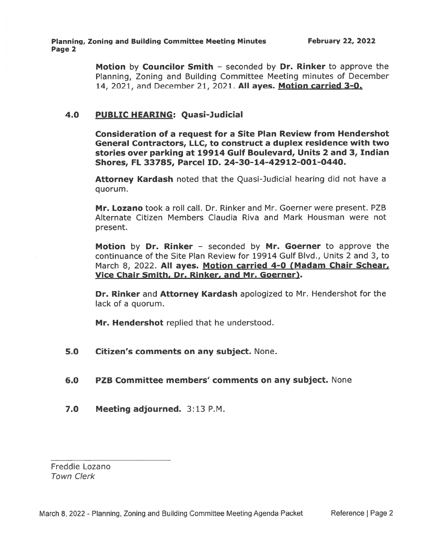Planning, Zoning and Building Committee Meeting Minutes February 22, 2022 Page 2

Motion by Councilor Smith - seconded by Dr. Rinker to approve the Planning, Zoning and Building Committee Meeting minutes of December 14, 2021, and December 21, 2021. All ayes. Motion carried 3-0.

#### 4.0 PUBLIC HEARING: Quasi-Judicial

Consideration of <sup>a</sup> reques<sup>t</sup> for <sup>a</sup> Site Plan Review from Hendershot General Contractors, LLC, to construct <sup>a</sup> duplex residence with two stories over parking at 19914 Gulf Boulevard, Units 2 and 3, Indian Shores, FL 33785, Parcel ID. 24-30-14-42912-001-0440.

Attorney Kardash noted that the Quasi-Judicial hearing did not have a quorum.

Mr. Lozano took <sup>a</sup> roll call. Dr. Rinker and Mr. Goerner were present. PZB Alternate Citizen Members Claudia Riva and Mark Housman were not present.

Motion by Dr. Rinker - seconded by Mr. Goerner to approve the continuance of the Site Plan Review for 19914 Gulf Blvd., Units 2 and 3, to March 8, 2022. All ayes. Motion carried 4-0 (Madam Chair Schear, Vice Chair Smith, Dr. Rinker, and Mr. Goerner).

Dr. Rinker and Attorney Kardash apologized to Mr. Hendershot for the lack of <sup>a</sup> quorum.

Mr. Hendershot replied that he understood.

5.0 Citizen's comments on any subject. None.

#### 6.0 PZB Committee members' comments on any subject. None

7.0 Meeting adjourned. 3:13 P.M.

Freddie Lozano Town Clerk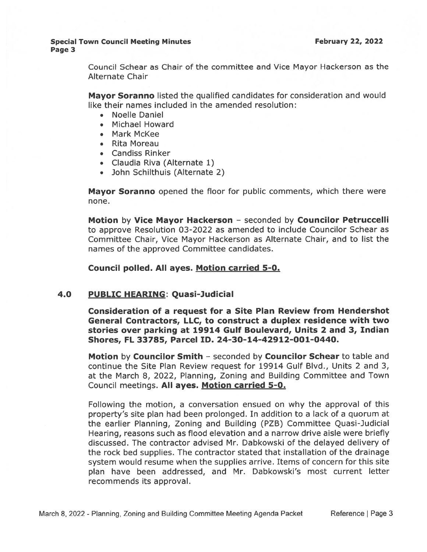#### Special Town Council Meeting Minutes **February 22, 2022** Page 3

Council Schear as Chair of the committee and Vice Mayor Hackerson as the Alternate Chair

Mayor Soranno listed the qualified candidates for consideration and would like their names included in the amended resolution:

- Noelle Daniel
- Michael Howard
- Mark McKee
- Rita Moreau
- Candiss Rinker
- Claudia Riva (Alternate 1)
- John Schilthuis (Alternate 2)

Mayor Soranno opened the floor for public comments, which there were none.

Motion by Vice Mayor Hackerson - seconded by Councilor Petruccelli to approve Resolution 03-2022 as amended to include Councilor Schear as Committee Chair, Vice Mayor Hackerson as Alternate Chair, and to list the names of the approved Committee candidates.

Council polled. All ayes. Motion carried 5-0.

#### 4.0 PUBLIC HEARING: Quasi-Judicial

Consideration of <sup>a</sup> reques<sup>t</sup> for <sup>a</sup> Site Plan Review from Hendershot General Contractors, LLC, to construct <sup>a</sup> duplex residence with two stories over parking at 19914 Gulf Boulevard, Units 2 and 3, Indian Shores, FL 33785, Parcel ID. 24-30-14-42912-001-0440.

Motion by Councilor Smith - seconded by Councilor Schear to table and continue the Site Plan Review reques<sup>t</sup> for 19914 Gulf Blvd., Units 2 and 3, at the March 8, 2022, Planning, Zoning and Building Committee and Town Council meetings. All ayes. Motion carried 5-0.

Following the motion, <sup>a</sup> conversation ensued on why the approval of this property's site plan had been prolonged. In addition to <sup>a</sup> lack of <sup>a</sup> quorum at the earlier Planning, Zoning and Building (PZB) Committee Quasi-Judicial Hearing, reasons such as flood elevation and <sup>a</sup> narrow drive aisle were briefly discussed. The contractor advised Mr. Dabkowski of the delayed delivery of the rock bed supplies. The contractor stated that installation of the drainage system would resume when the supplies arrive. Items of concern for this site plan have been addressed, and Mr. Dabkowski's most current letter recommends its approval.